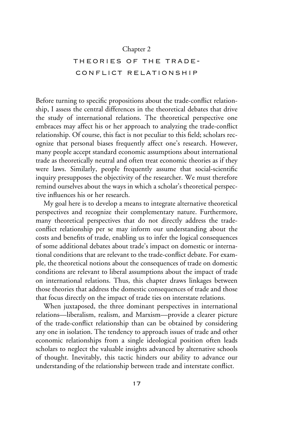#### Chapter 2

# theories of the tradeconflict relationship

Before turning to specific propositions about the trade-conflict relationship, I assess the central differences in the theoretical debates that drive the study of international relations. The theoretical perspective one embraces may affect his or her approach to analyzing the trade-conflict relationship. Of course, this fact is not peculiar to this field; scholars recognize that personal biases frequently affect one's research. However, many people accept standard economic assumptions about international trade as theoretically neutral and often treat economic theories as if they were laws. Similarly, people frequently assume that social-scientific inquiry presupposes the objectivity of the researcher. We must therefore remind ourselves about the ways in which a scholar's theoretical perspective influences his or her research.

My goal here is to develop a means to integrate alternative theoretical perspectives and recognize their complementary nature. Furthermore, many theoretical perspectives that do not directly address the tradeconflict relationship per se may inform our understanding about the costs and benefits of trade, enabling us to infer the logical consequences of some additional debates about trade's impact on domestic or international conditions that are relevant to the trade-conflict debate. For example, the theoretical notions about the consequences of trade on domestic conditions are relevant to liberal assumptions about the impact of trade on international relations. Thus, this chapter draws linkages between those theories that address the domestic consequences of trade and those that focus directly on the impact of trade ties on interstate relations.

When juxtaposed, the three dominant perspectives in international relations—liberalism, realism, and Marxism—provide a clearer picture of the trade-conflict relationship than can be obtained by considering any one in isolation. The tendency to approach issues of trade and other economic relationships from a single ideological position often leads scholars to neglect the valuable insights advanced by alternative schools of thought. Inevitably, this tactic hinders our ability to advance our understanding of the relationship between trade and interstate conflict.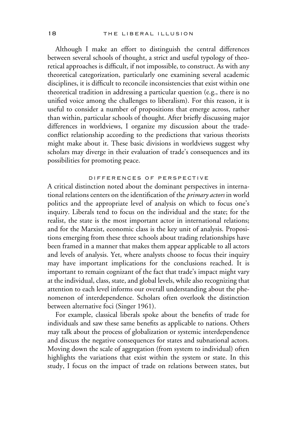Although I make an effort to distinguish the central differences between several schools of thought, a strict and useful typology of theoretical approaches is difficult, if not impossible, to construct. As with any theoretical categorization, particularly one examining several academic disciplines, it is difficult to reconcile inconsistencies that exist within one theoretical tradition in addressing a particular question (e.g., there is no unified voice among the challenges to liberalism). For this reason, it is useful to consider a number of propositions that emerge across, rather than within, particular schools of thought. After briefly discussing major differences in worldviews, I organize my discussion about the tradeconflict relationship according to the predictions that various theorists might make about it. These basic divisions in worldviews suggest why scholars may diverge in their evaluation of trade's consequences and its possibilities for promoting peace.

#### differences of perspective

A critical distinction noted about the dominant perspectives in international relations centers on the identification of the *primary actors* in world politics and the appropriate level of analysis on which to focus one's inquiry. Liberals tend to focus on the individual and the state; for the realist, the state is the most important actor in international relations; and for the Marxist, economic class is the key unit of analysis. Propositions emerging from these three schools about trading relationships have been framed in a manner that makes them appear applicable to all actors and levels of analysis. Yet, where analysts choose to focus their inquiry may have important implications for the conclusions reached. It is important to remain cognizant of the fact that trade's impact might vary at the individual, class, state, and global levels, while also recognizing that attention to each level informs our overall understanding about the phenomenon of interdependence. Scholars often overlook the distinction between alternative foci (Singer 1961).

For example, classical liberals spoke about the benefits of trade for individuals and saw these same benefits as applicable to nations. Others may talk about the process of globalization or systemic interdependence and discuss the negative consequences for states and subnational actors. Moving down the scale of aggregation (from system to individual) often highlights the variations that exist within the system or state. In this study, I focus on the impact of trade on relations between states, but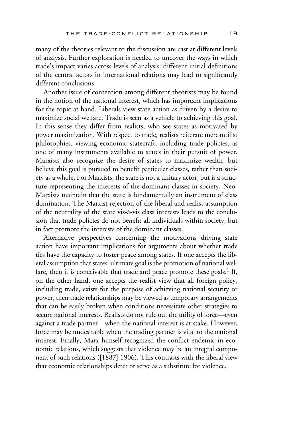many of the theories relevant to the discussion are cast at different levels of analysis. Further exploration is needed to uncover the ways in which trade's impact varies across levels of analysis: different initial definitions of the central actors in international relations may lead to significantly different conclusions.

Another issue of contention among different theorists may be found in the notion of the national interest, which has important implications for the topic at hand. Liberals view state action as driven by a desire to maximize social welfare. Trade is seen as a vehicle to achieving this goal. In this sense they differ from realists, who see states as motivated by power maximization. With respect to trade, realists reiterate mercantilist philosophies, viewing economic statecraft, including trade policies, as one of many instruments available to states in their pursuit of power. Marxists also recognize the desire of states to maximize wealth, but believe this goal is pursued to benefit particular classes, rather than society as a whole. For Marxists, the state is not a unitary actor, but is a structure representing the interests of the dominant classes in society. Neo-Marxists maintain that the state is fundamentally an instrument of class domination. The Marxist rejection of the liberal and realist assumption of the neutrality of the state vis-à-vis class interests leads to the conclusion that trade policies do not benefit all individuals within society, but in fact promote the interests of the dominant classes.

Alternative perspectives concerning the motivations driving state action have important implications for arguments about whether trade ties have the capacity to foster peace among states. If one accepts the liberal assumption that states' ultimate goal is the promotion of national welfare, then it is conceivable that trade and peace promote these goals.<sup>1</sup> If, on the other hand, one accepts the realist view that all foreign policy, including trade, exists for the purpose of achieving national security or power, then trade relationships may be viewed as temporary arrangements that can be easily broken when conditions necessitate other strategies to secure national interests. Realists do not rule out the utility of force—even against a trade partner—when the national interest is at stake. However, force may be undesirable when the trading partner is vital to the national interest. Finally, Marx himself recognized the conflict endemic in economic relations, which suggests that violence may be an integral component of such relations ([1887] 1906). This contrasts with the liberal view that economic relationships deter or serve as a substitute for violence.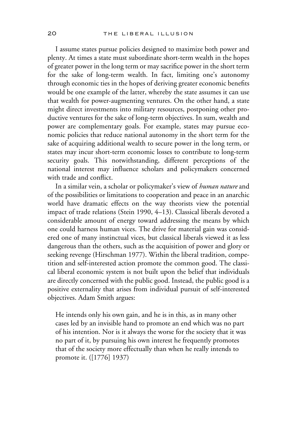I assume states pursue policies designed to maximize both power and plenty. At times a state must subordinate short-term wealth in the hopes of greater power in the long term or may sacrifice power in the short term for the sake of long-term wealth. In fact, limiting one's autonomy through economic ties in the hopes of deriving greater economic benefits would be one example of the latter, whereby the state assumes it can use that wealth for power-augmenting ventures. On the other hand, a state might direct investments into military resources, postponing other productive ventures for the sake of long-term objectives. In sum, wealth and power are complementary goals. For example, states may pursue economic policies that reduce national autonomy in the short term for the sake of acquiring additional wealth to secure power in the long term, or states may incur short-term economic losses to contribute to long-term security goals. This notwithstanding, different perceptions of the national interest may influence scholars and policymakers concerned with trade and conflict.

In a similar vein, a scholar or policymaker's view of *human nature* and of the possibilities or limitations to cooperation and peace in an anarchic world have dramatic effects on the way theorists view the potential impact of trade relations (Stein 1990, 4–13). Classical liberals devoted a considerable amount of energy toward addressing the means by which one could harness human vices. The drive for material gain was considered one of many instinctual vices, but classical liberals viewed it as less dangerous than the others, such as the acquisition of power and glory or seeking revenge (Hirschman 1977). Within the liberal tradition, competition and self-interested action promote the common good. The classical liberal economic system is not built upon the belief that individuals are directly concerned with the public good. Instead, the public good is a positive externality that arises from individual pursuit of self-interested objectives. Adam Smith argues:

He intends only his own gain, and he is in this, as in many other cases led by an invisible hand to promote an end which was no part of his intention. Nor is it always the worse for the society that it was no part of it, by pursuing his own interest he frequently promotes that of the society more effectually than when he really intends to promote it. ([1776] 1937)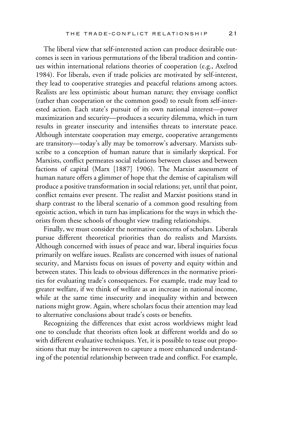The liberal view that self-interested action can produce desirable outcomes is seen in various permutations of the liberal tradition and continues within international relations theories of cooperation (e.g., Axelrod 1984). For liberals, even if trade policies are motivated by self-interest, they lead to cooperative strategies and peaceful relations among actors. Realists are less optimistic about human nature; they envisage conflict (rather than cooperation or the common good) to result from self-interested action. Each state's pursuit of its own national interest—power maximization and security—produces a security dilemma, which in turn results in greater insecurity and intensifies threats to interstate peace. Although interstate cooperation may emerge, cooperative arrangements are transitory—today's ally may be tomorrow's adversary. Marxists subscribe to a conception of human nature that is similarly skeptical. For Marxists, conflict permeates social relations between classes and between factions of capital (Marx [1887] 1906). The Marxist assessment of human nature offers a glimmer of hope that the demise of capitalism will produce a positive transformation in social relations; yet, until that point, conflict remains ever present. The realist and Marxist positions stand in sharp contrast to the liberal scenario of a common good resulting from egoistic action, which in turn has implications for the ways in which theorists from these schools of thought view trading relationships.

Finally, we must consider the normative concerns of scholars. Liberals pursue different theoretical priorities than do realists and Marxists. Although concerned with issues of peace and war, liberal inquiries focus primarily on welfare issues. Realists are concerned with issues of national security, and Marxists focus on issues of poverty and equity within and between states. This leads to obvious differences in the normative priorities for evaluating trade's consequences. For example, trade may lead to greater welfare, if we think of welfare as an increase in national income, while at the same time insecurity and inequality within and between nations might grow. Again, where scholars focus their attention may lead to alternative conclusions about trade's costs or benefits.

Recognizing the differences that exist across worldviews might lead one to conclude that theorists often look at different worlds and do so with different evaluative techniques. Yet, it is possible to tease out propositions that may be interwoven to capture a more enhanced understanding of the potential relationship between trade and conflict. For example,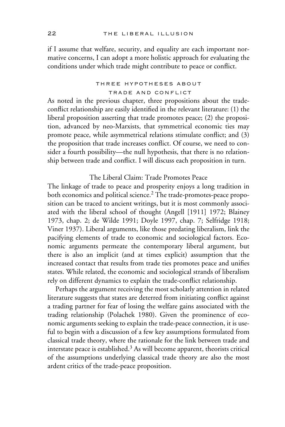if I assume that welfare, security, and equality are each important normative concerns, I can adopt a more holistic approach for evaluating the conditions under which trade might contribute to peace or conflict.

#### three hypotheses about trade and conflict

As noted in the previous chapter, three propositions about the tradeconflict relationship are easily identified in the relevant literature: (1) the liberal proposition asserting that trade promotes peace; (2) the proposition, advanced by neo-Marxists, that symmetrical economic ties may promote peace, while asymmetrical relations stimulate conflict; and (3) the proposition that trade increases conflict. Of course, we need to consider a fourth possibility—the null hypothesis, that there is no relationship between trade and conflict. I will discuss each proposition in turn.

The Liberal Claim: Trade Promotes Peace

The linkage of trade to peace and prosperity enjoys a long tradition in both economics and political science.<sup>2</sup> The trade-promotes-peace proposition can be traced to ancient writings, but it is most commonly associated with the liberal school of thought (Angell [1911] 1972; Blainey 1973, chap. 2; de Wilde 1991; Doyle 1997, chap. 7; Selfridge 1918; Viner 1937). Liberal arguments, like those predating liberalism, link the pacifying elements of trade to economic and sociological factors. Economic arguments permeate the contemporary liberal argument, but there is also an implicit (and at times explicit) assumption that the increased contact that results from trade ties promotes peace and unifies states. While related, the economic and sociological strands of liberalism rely on different dynamics to explain the trade-conflict relationship.

Perhaps the argument receiving the most scholarly attention in related literature suggests that states are deterred from initiating conflict against a trading partner for fear of losing the welfare gains associated with the trading relationship (Polachek 1980). Given the prominence of economic arguments seeking to explain the trade-peace connection, it is useful to begin with a discussion of a few key assumptions formulated from classical trade theory, where the rationale for the link between trade and interstate peace is established.<sup>3</sup> As will become apparent, theorists critical of the assumptions underlying classical trade theory are also the most ardent critics of the trade-peace proposition.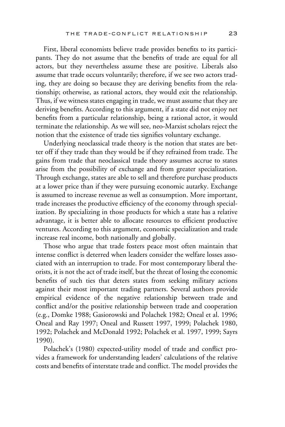First, liberal economists believe trade provides benefits to its participants. They do not assume that the benefits of trade are equal for all actors, but they nevertheless assume these are positive. Liberals also assume that trade occurs voluntarily; therefore, if we see two actors trading, they are doing so because they are deriving benefits from the relationship; otherwise, as rational actors, they would exit the relationship. Thus, if we witness states engaging in trade, we must assume that they are deriving benefits. According to this argument, if a state did not enjoy net benefits from a particular relationship, being a rational actor, it would terminate the relationship. As we will see, neo-Marxist scholars reject the notion that the existence of trade ties signifies voluntary exchange.

Underlying neoclassical trade theory is the notion that states are better off if they trade than they would be if they refrained from trade. The gains from trade that neoclassical trade theory assumes accrue to states arise from the possibility of exchange and from greater specialization. Through exchange, states are able to sell and therefore purchase products at a lower price than if they were pursuing economic autarky. Exchange is assumed to increase revenue as well as consumption. More important, trade increases the productive efficiency of the economy through specialization. By specializing in those products for which a state has a relative advantage, it is better able to allocate resources to efficient productive ventures. According to this argument, economic specialization and trade increase real income, both nationally and globally.

Those who argue that trade fosters peace most often maintain that intense conflict is deterred when leaders consider the welfare losses associated with an interruption to trade. For most contemporary liberal theorists, it is not the act of trade itself, but the threat of losing the economic benefits of such ties that deters states from seeking military actions against their most important trading partners. Several authors provide empirical evidence of the negative relationship between trade and conflict and/or the positive relationship between trade and cooperation (e.g., Domke 1988; Gasiorowski and Polachek 1982; Oneal et al. 1996; Oneal and Ray 1997; Oneal and Russett 1997, 1999; Polachek 1980, 1992; Polachek and McDonald 1992; Polachek et al. 1997, 1999; Sayrs 1990).

Polachek's (1980) expected-utility model of trade and conflict provides a framework for understanding leaders' calculations of the relative costs and benefits of interstate trade and conflict. The model provides the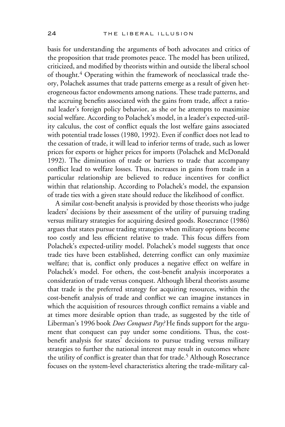basis for understanding the arguments of both advocates and critics of the proposition that trade promotes peace. The model has been utilized, criticized, and modified by theorists within and outside the liberal school of thought.<sup>4</sup> Operating within the framework of neoclassical trade theory, Polachek assumes that trade patterns emerge as a result of given heterogeneous factor endowments among nations. These trade patterns, and the accruing benefits associated with the gains from trade, affect a rational leader's foreign policy behavior, as she or he attempts to maximize social welfare. According to Polachek's model, in a leader's expected-utility calculus, the cost of conflict equals the lost welfare gains associated with potential trade losses (1980, 1992). Even if conflict does not lead to the cessation of trade, it will lead to inferior terms of trade, such as lower prices for exports or higher prices for imports (Polachek and McDonald 1992). The diminution of trade or barriers to trade that accompany conflict lead to welfare losses. Thus, increases in gains from trade in a particular relationship are believed to reduce incentives for conflict within that relationship. According to Polachek's model, the expansion of trade ties with a given state should reduce the likelihood of conflict.

A similar cost-benefit analysis is provided by those theorists who judge leaders' decisions by their assessment of the utility of pursuing trading versus military strategies for acquiring desired goods. Rosecrance (1986) argues that states pursue trading strategies when military options become too costly and less efficient relative to trade. This focus differs from Polachek's expected-utility model. Polachek's model suggests that once trade ties have been established, deterring conflict can only maximize welfare; that is, conflict only produces a negative effect on welfare in Polachek's model. For others, the cost-benefit analysis incorporates a consideration of trade versus conquest. Although liberal theorists assume that trade is the preferred strategy for acquiring resources, within the cost-benefit analysis of trade and conflict we can imagine instances in which the acquisition of resources through conflict remains a viable and at times more desirable option than trade, as suggested by the title of Liberman's 1996 book *Does Conquest Pay?* He finds support for the argument that conquest can pay under some conditions. Thus, the costbenefit analysis for states' decisions to pursue trading versus military strategies to further the national interest may result in outcomes where the utility of conflict is greater than that for trade.<sup>5</sup> Although Rosecrance focuses on the system-level characteristics altering the trade-military cal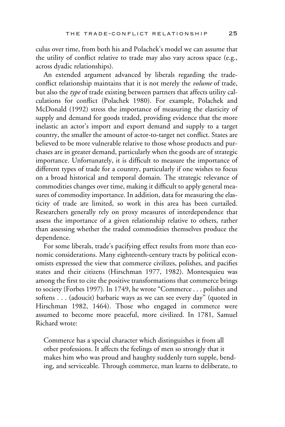culus over time, from both his and Polachek's model we can assume that the utility of conflict relative to trade may also vary across space (e.g., across dyadic relationships).

An extended argument advanced by liberals regarding the tradeconflict relationship maintains that it is not merely the *volume* of trade, but also the *type* of trade existing between partners that affects utility calculations for conflict (Polachek 1980). For example, Polachek and McDonald (1992) stress the importance of measuring the elasticity of supply and demand for goods traded, providing evidence that the more inelastic an actor's import and export demand and supply to a target country, the smaller the amount of actor-to-target net conflict. States are believed to be more vulnerable relative to those whose products and purchases are in greater demand, particularly when the goods are of strategic importance. Unfortunately, it is difficult to measure the importance of different types of trade for a country, particularly if one wishes to focus on a broad historical and temporal domain. The strategic relevance of commodities changes over time, making it difficult to apply general measures of commodity importance. In addition, data for measuring the elasticity of trade are limited, so work in this area has been curtailed. Researchers generally rely on proxy measures of interdependence that assess the importance of a given relationship relative to others, rather than assessing whether the traded commodities themselves produce the dependence.

For some liberals, trade's pacifying effect results from more than economic considerations. Many eighteenth-century tracts by political economists expressed the view that commerce civilizes, polishes, and pacifies states and their citizens (Hirschman 1977, 1982). Montesquieu was among the first to cite the positive transformations that commerce brings to society (Forbes 1997). In 1749, he wrote "Commerce . . . polishes and softens . . . (adoucit) barbaric ways as we can see every day" (quoted in Hirschman 1982, 1464). Those who engaged in commerce were assumed to become more peaceful, more civilized. In 1781, Samuel Richard wrote:

Commerce has a special character which distinguishes it from all other professions. It affects the feelings of men so strongly that it makes him who was proud and haughty suddenly turn supple, bending, and serviceable. Through commerce, man learns to deliberate, to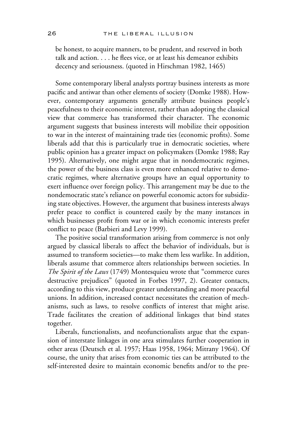be honest, to acquire manners, to be prudent, and reserved in both talk and action.  $\dots$  he flees vice, or at least his demeanor exhibits decency and seriousness. (quoted in Hirschman 1982, 1465)

Some contemporary liberal analysts portray business interests as more pacific and antiwar than other elements of society (Domke 1988). However, contemporary arguments generally attribute business people's peacefulness to their economic interest, rather than adopting the classical view that commerce has transformed their character. The economic argument suggests that business interests will mobilize their opposition to war in the interest of maintaining trade ties (economic profits). Some liberals add that this is particularly true in democratic societies, where public opinion has a greater impact on policymakers (Domke 1988; Ray 1995). Alternatively, one might argue that in nondemocratic regimes, the power of the business class is even more enhanced relative to democratic regimes, where alternative groups have an equal opportunity to exert influence over foreign policy. This arrangement may be due to the nondemocratic state's reliance on powerful economic actors for subsidizing state objectives. However, the argument that business interests always prefer peace to conflict is countered easily by the many instances in which businesses profit from war or in which economic interests prefer conflict to peace (Barbieri and Levy 1999).

The positive social transformation arising from commerce is not only argued by classical liberals to affect the behavior of individuals, but is assumed to transform societies—to make them less warlike. In addition, liberals assume that commerce alters relationships between societies. In *The Spirit of the Laws* (1749) Montesquieu wrote that "commerce cures destructive prejudices" (quoted in Forbes 1997, 2). Greater contacts, according to this view, produce greater understanding and more peaceful unions. In addition, increased contact necessitates the creation of mechanisms, such as laws, to resolve conflicts of interest that might arise. Trade facilitates the creation of additional linkages that bind states together.

Liberals, functionalists, and neofunctionalists argue that the expansion of interstate linkages in one area stimulates further cooperation in other areas (Deutsch et al. 1957; Haas 1958, 1964; Mitrany 1964). Of course, the unity that arises from economic ties can be attributed to the self-interested desire to maintain economic benefits and/or to the pre-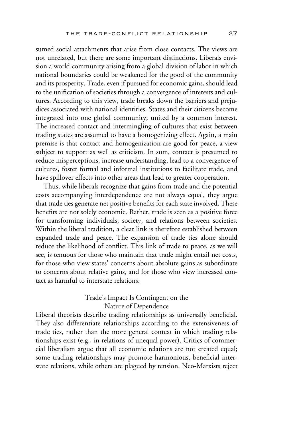sumed social attachments that arise from close contacts. The views are not unrelated, but there are some important distinctions. Liberals envision a world community arising from a global division of labor in which national boundaries could be weakened for the good of the community and its prosperity. Trade, even if pursued for economic gains, should lead to the unification of societies through a convergence of interests and cultures. According to this view, trade breaks down the barriers and prejudices associated with national identities. States and their citizens become integrated into one global community, united by a common interest. The increased contact and intermingling of cultures that exist between trading states are assumed to have a homogenizing effect. Again, a main premise is that contact and homogenization are good for peace, a view subject to support as well as criticism. In sum, contact is presumed to reduce misperceptions, increase understanding, lead to a convergence of cultures, foster formal and informal institutions to facilitate trade, and have spillover effects into other areas that lead to greater cooperation.

Thus, while liberals recognize that gains from trade and the potential costs accompanying interdependence are not always equal, they argue that trade ties generate net positive benefits for each state involved. These benefits are not solely economic. Rather, trade is seen as a positive force for transforming individuals, society, and relations between societies. Within the liberal tradition, a clear link is therefore established between expanded trade and peace. The expansion of trade ties alone should reduce the likelihood of conflict. This link of trade to peace, as we will see, is tenuous for those who maintain that trade might entail net costs, for those who view states' concerns about absolute gains as subordinate to concerns about relative gains, and for those who view increased contact as harmful to interstate relations.

### Trade's Impact Is Contingent on the Nature of Dependence

Liberal theorists describe trading relationships as universally beneficial. They also differentiate relationships according to the extensiveness of trade ties, rather than the more general context in which trading relationships exist (e.g., in relations of unequal power). Critics of commercial liberalism argue that all economic relations are not created equal; some trading relationships may promote harmonious, beneficial interstate relations, while others are plagued by tension. Neo-Marxists reject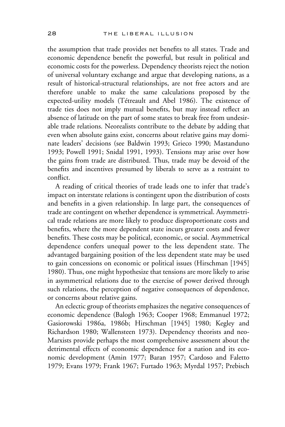the assumption that trade provides net benefits to all states. Trade and economic dependence benefit the powerful, but result in political and economic costs for the powerless. Dependency theorists reject the notion of universal voluntary exchange and argue that developing nations, as a result of historical-structural relationships, are not free actors and are therefore unable to make the same calculations proposed by the expected-utility models (Tétreault and Abel 1986). The existence of trade ties does not imply mutual benefits, but may instead reflect an absence of latitude on the part of some states to break free from undesirable trade relations. Neorealists contribute to the debate by adding that even when absolute gains exist, concerns about relative gains may dominate leaders' decisions (see Baldwin 1993; Grieco 1990; Mastanduno 1993; Powell 1991; Snidal 1991, 1993). Tensions may arise over how the gains from trade are distributed. Thus, trade may be devoid of the benefits and incentives presumed by liberals to serve as a restraint to conflict.

A reading of critical theories of trade leads one to infer that trade's impact on interstate relations is contingent upon the distribution of costs and benefits in a given relationship. In large part, the consequences of trade are contingent on whether dependence is symmetrical. Asymmetrical trade relations are more likely to produce disproportionate costs and benefits, where the more dependent state incurs greater costs and fewer benefits. These costs may be political, economic, or social. Asymmetrical dependence confers unequal power to the less dependent state. The advantaged bargaining position of the less dependent state may be used to gain concessions on economic or political issues (Hirschman [1945] 1980). Thus, one might hypothesize that tensions are more likely to arise in asymmetrical relations due to the exercise of power derived through such relations, the perception of negative consequences of dependence, or concerns about relative gains.

An eclectic group of theorists emphasizes the negative consequences of economic dependence (Balogh 1963; Cooper 1968; Emmanuel 1972; Gasiorowski 1986a, 1986b; Hirschman [1945] 1980; Kegley and Richardson 1980; Wallensteen 1973). Dependency theorists and neo-Marxists provide perhaps the most comprehensive assessment about the detrimental effects of economic dependence for a nation and its economic development (Amin 1977; Baran 1957; Cardoso and Faletto 1979; Evans 1979; Frank 1967; Furtado 1963; Myrdal 1957; Prebisch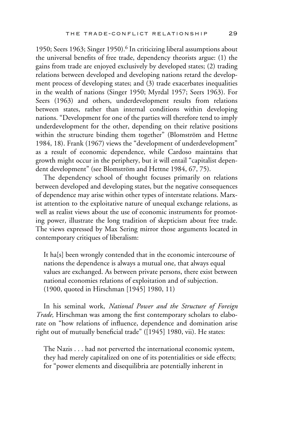1950; Seers 1963; Singer 1950).<sup>6</sup> In criticizing liberal assumptions about the universal benefits of free trade, dependency theorists argue: (1) the gains from trade are enjoyed exclusively by developed states; (2) trading relations between developed and developing nations retard the development process of developing states; and (3) trade exacerbates inequalities in the wealth of nations (Singer 1950; Myrdal 1957; Seers 1963). For Seers (1963) and others, underdevelopment results from relations between states, rather than internal conditions within developing nations. "Development for one of the parties will therefore tend to imply underdevelopment for the other, depending on their relative positions within the structure binding them together" (Blomström and Hettne 1984, 18). Frank (1967) views the "development of underdevelopment" as a result of economic dependence, while Cardoso maintains that growth might occur in the periphery, but it will entail "capitalist dependent development" (see Blomström and Hettne 1984, 67, 75).

The dependency school of thought focuses primarily on relations between developed and developing states, but the negative consequences of dependence may arise within other types of interstate relations. Marxist attention to the exploitative nature of unequal exchange relations, as well as realist views about the use of economic instruments for promoting power, illustrate the long tradition of skepticism about free trade. The views expressed by Max Sering mirror those arguments located in contemporary critiques of liberalism:

It ha[s] been wrongly contended that in the economic intercourse of nations the dependence is always a mutual one, that always equal values are exchanged. As between private persons, there exist between national economies relations of exploitation and of subjection. (1900, quoted in Hirschman [1945] 1980, 11)

In his seminal work, *National Power and the Structure of Foreign Trade*, Hirschman was among the first contemporary scholars to elaborate on "how relations of influence, dependence and domination arise right out of mutually beneficial trade" ([1945] 1980, vii). He states:

The Nazis . . . had not perverted the international economic system, they had merely capitalized on one of its potentialities or side effects; for "power elements and disequilibria are potentially inherent in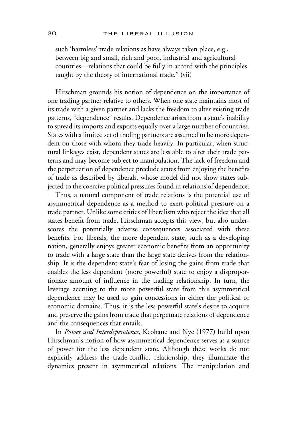such 'harmless' trade relations as have always taken place, e.g., between big and small, rich and poor, industrial and agricultural countries—relations that could be fully in accord with the principles taught by the theory of international trade." (vii)

Hirschman grounds his notion of dependence on the importance of one trading partner relative to others. When one state maintains most of its trade with a given partner and lacks the freedom to alter existing trade patterns, "dependence" results. Dependence arises from a state's inability to spread its imports and exports equally over a large number of countries. States with a limited set of trading partners are assumed to be more dependent on those with whom they trade heavily. In particular, when structural linkages exist, dependent states are less able to alter their trade patterns and may become subject to manipulation. The lack of freedom and the perpetuation of dependence preclude states from enjoying the benefits of trade as described by liberals, whose model did not show states subjected to the coercive political pressures found in relations of dependence.

Thus, a natural component of trade relations is the potential use of asymmetrical dependence as a method to exert political pressure on a trade partner. Unlike some critics of liberalism who reject the idea that all states benefit from trade, Hirschman accepts this view, but also underscores the potentially adverse consequences associated with these benefits. For liberals, the more dependent state, such as a developing nation, generally enjoys greater economic benefits from an opportunity to trade with a large state than the large state derives from the relationship. It is the dependent state's fear of losing the gains from trade that enables the less dependent (more powerful) state to enjoy a disproportionate amount of influence in the trading relationship. In turn, the leverage accruing to the more powerful state from this asymmetrical dependence may be used to gain concessions in either the political or economic domains. Thus, it is the less powerful state's desire to acquire and preserve the gains from trade that perpetuate relations of dependence and the consequences that entails.

In *Power and Interdependence,* Keohane and Nye (1977) build upon Hirschman's notion of how asymmetrical dependence serves as a source of power for the less dependent state. Although these works do not explicitly address the trade-conflict relationship, they illuminate the dynamics present in asymmetrical relations. The manipulation and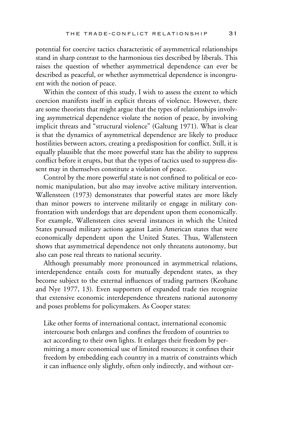potential for coercive tactics characteristic of asymmetrical relationships stand in sharp contrast to the harmonious ties described by liberals. This raises the question of whether asymmetrical dependence can ever be described as peaceful, or whether asymmetrical dependence is incongruent with the notion of peace.

Within the context of this study, I wish to assess the extent to which coercion manifests itself in explicit threats of violence. However, there are some theorists that might argue that the types of relationships involving asymmetrical dependence violate the notion of peace, by involving implicit threats and "structural violence" (Galtung 1971). What is clear is that the dynamics of asymmetrical dependence are likely to produce hostilities between actors, creating a predisposition for conflict. Still, it is equally plausible that the more powerful state has the ability to suppress conflict before it erupts, but that the types of tactics used to suppress dissent may in themselves constitute a violation of peace.

Control by the more powerful state is not confined to political or economic manipulation, but also may involve active military intervention. Wallensteen (1973) demonstrates that powerful states are more likely than minor powers to intervene militarily or engage in military confrontation with underdogs that are dependent upon them economically. For example, Wallensteen cites several instances in which the United States pursued military actions against Latin American states that were economically dependent upon the United States. Thus, Wallensteen shows that asymmetrical dependence not only threatens autonomy, but also can pose real threats to national security.

Although presumably more pronounced in asymmetrical relations, interdependence entails costs for mutually dependent states, as they become subject to the external influences of trading partners (Keohane and Nye 1977, 13). Even supporters of expanded trade ties recognize that extensive economic interdependence threatens national autonomy and poses problems for policymakers. As Cooper states:

Like other forms of international contact, international economic intercourse both enlarges and confines the freedom of countries to act according to their own lights. It enlarges their freedom by permitting a more economical use of limited resources; it confines their freedom by embedding each country in a matrix of constraints which it can influence only slightly, often only indirectly, and without cer-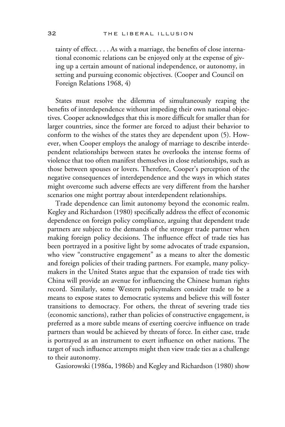tainty of effect.  $\dots$  As with a marriage, the benefits of close international economic relations can be enjoyed only at the expense of giving up a certain amount of national independence, or autonomy, in setting and pursuing economic objectives. (Cooper and Council on Foreign Relations 1968, 4)

States must resolve the dilemma of simultaneously reaping the benefits of interdependence without impeding their own national objectives. Cooper acknowledges that this is more difficult for smaller than for larger countries, since the former are forced to adjust their behavior to conform to the wishes of the states they are dependent upon (5). However, when Cooper employs the analogy of marriage to describe interdependent relationships between states he overlooks the intense forms of violence that too often manifest themselves in close relationships, such as those between spouses or lovers. Therefore, Cooper's perception of the negative consequences of interdependence and the ways in which states might overcome such adverse effects are very different from the harsher scenarios one might portray about interdependent relationships.

Trade dependence can limit autonomy beyond the economic realm. Kegley and Richardson (1980) specifically address the effect of economic dependence on foreign policy compliance, arguing that dependent trade partners are subject to the demands of the stronger trade partner when making foreign policy decisions. The influence effect of trade ties has been portrayed in a positive light by some advocates of trade expansion, who view "constructive engagement" as a means to alter the domestic and foreign policies of their trading partners. For example, many policymakers in the United States argue that the expansion of trade ties with China will provide an avenue for influencing the Chinese human rights record. Similarly, some Western policymakers consider trade to be a means to expose states to democratic systems and believe this will foster transitions to democracy. For others, the threat of severing trade ties (economic sanctions), rather than policies of constructive engagement, is preferred as a more subtle means of exerting coercive influence on trade partners than would be achieved by threats of force. In either case, trade is portrayed as an instrument to exert influence on other nations. The target of such influence attempts might then view trade ties as a challenge to their autonomy.

Gasiorowski (1986a, 1986b) and Kegley and Richardson (1980) show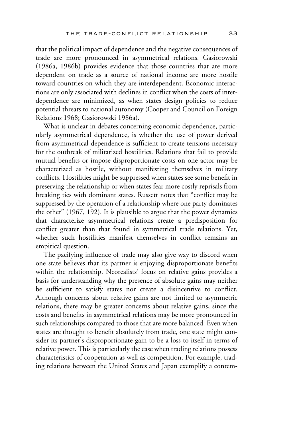that the political impact of dependence and the negative consequences of trade are more pronounced in asymmetrical relations. Gasiorowski (1986a, 1986b) provides evidence that those countries that are more dependent on trade as a source of national income are more hostile toward countries on which they are interdependent. Economic interactions are only associated with declines in conflict when the costs of interdependence are minimized, as when states design policies to reduce potential threats to national autonomy (Cooper and Council on Foreign Relations 1968; Gasiorowski 1986a).

What is unclear in debates concerning economic dependence, particularly asymmetrical dependence, is whether the use of power derived from asymmetrical dependence is sufficient to create tensions necessary for the outbreak of militarized hostilities. Relations that fail to provide mutual benefits or impose disproportionate costs on one actor may be characterized as hostile, without manifesting themselves in military conflicts. Hostilities might be suppressed when states see some benefit in preserving the relationship or when states fear more costly reprisals from breaking ties with dominant states. Russett notes that "conflict may be suppressed by the operation of a relationship where one party dominates the other" (1967, 192). It is plausible to argue that the power dynamics that characterize asymmetrical relations create a predisposition for conflict greater than that found in symmetrical trade relations. Yet, whether such hostilities manifest themselves in conflict remains an empirical question.

The pacifying influence of trade may also give way to discord when one state believes that its partner is enjoying disproportionate benefits within the relationship. Neorealists' focus on relative gains provides a basis for understanding why the presence of absolute gains may neither be sufficient to satisfy states nor create a disincentive to conflict. Although concerns about relative gains are not limited to asymmetric relations, there may be greater concerns about relative gains, since the costs and benefits in asymmetrical relations may be more pronounced in such relationships compared to those that are more balanced. Even when states are thought to benefit absolutely from trade, one state might consider its partner's disproportionate gain to be a loss to itself in terms of relative power. This is particularly the case when trading relations possess characteristics of cooperation as well as competition. For example, trading relations between the United States and Japan exemplify a contem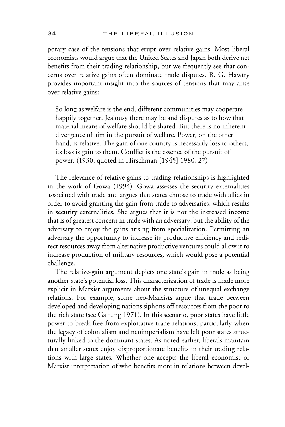porary case of the tensions that erupt over relative gains. Most liberal economists would argue that the United States and Japan both derive net benefits from their trading relationship, but we frequently see that concerns over relative gains often dominate trade disputes. R. G. Hawtry provides important insight into the sources of tensions that may arise over relative gains:

So long as welfare is the end, different communities may cooperate happily together. Jealousy there may be and disputes as to how that material means of welfare should be shared. But there is no inherent divergence of aim in the pursuit of welfare. Power, on the other hand, is relative. The gain of one country is necessarily loss to others, its loss is gain to them. Conflict is the essence of the pursuit of power. (1930, quoted in Hirschman [1945] 1980, 27)

The relevance of relative gains to trading relationships is highlighted in the work of Gowa (1994). Gowa assesses the security externalities associated with trade and argues that states choose to trade with allies in order to avoid granting the gain from trade to adversaries, which results in security externalities. She argues that it is not the increased income that is of greatest concern in trade with an adversary, but the ability of the adversary to enjoy the gains arising from specialization. Permitting an adversary the opportunity to increase its productive efficiency and redirect resources away from alternative productive ventures could allow it to increase production of military resources, which would pose a potential challenge.

The relative-gain argument depicts one state's gain in trade as being another state's potential loss. This characterization of trade is made more explicit in Marxist arguments about the structure of unequal exchange relations. For example, some neo-Marxists argue that trade between developed and developing nations siphons off resources from the poor to the rich state (see Galtung 1971). In this scenario, poor states have little power to break free from exploitative trade relations, particularly when the legacy of colonialism and neoimperialism have left poor states structurally linked to the dominant states. As noted earlier, liberals maintain that smaller states enjoy disproportionate benefits in their trading relations with large states. Whether one accepts the liberal economist or Marxist interpretation of who benefits more in relations between devel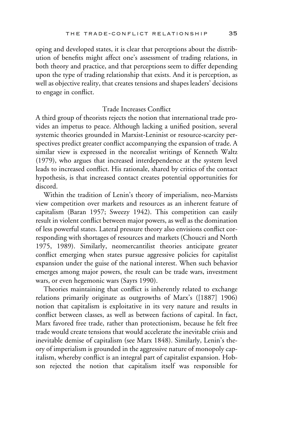oping and developed states, it is clear that perceptions about the distribution of benefits might affect one's assessment of trading relations, in both theory and practice, and that perceptions seem to differ depending upon the type of trading relationship that exists. And it is perception, as well as objective reality, that creates tensions and shapes leaders' decisions to engage in conflict.

#### Trade Increases Conflict

A third group of theorists rejects the notion that international trade provides an impetus to peace. Although lacking a unified position, several systemic theories grounded in Marxist-Leninist or resource-scarcity perspectives predict greater conflict accompanying the expansion of trade. A similar view is expressed in the neorealist writings of Kenneth Waltz (1979), who argues that increased interdependence at the system level leads to increased conflict. His rationale, shared by critics of the contact hypothesis, is that increased contact creates potential opportunities for discord.

Within the tradition of Lenin's theory of imperialism, neo-Marxists view competition over markets and resources as an inherent feature of capitalism (Baran 1957; Sweezy 1942). This competition can easily result in violent conflict between major powers, as well as the domination of less powerful states. Lateral pressure theory also envisions conflict corresponding with shortages of resources and markets (Choucri and North 1975, 1989). Similarly, neomercantilist theories anticipate greater conflict emerging when states pursue aggressive policies for capitalist expansion under the guise of the national interest. When such behavior emerges among major powers, the result can be trade wars, investment wars, or even hegemonic wars (Sayrs 1990).

Theories maintaining that conflict is inherently related to exchange relations primarily originate as outgrowths of Marx's ([1887] 1906) notion that capitalism is exploitative in its very nature and results in conflict between classes, as well as between factions of capital. In fact, Marx favored free trade, rather than protectionism, because he felt free trade would create tensions that would accelerate the inevitable crisis and inevitable demise of capitalism (see Marx 1848). Similarly, Lenin's theory of imperialism is grounded in the aggressive nature of monopoly capitalism, whereby conflict is an integral part of capitalist expansion. Hobson rejected the notion that capitalism itself was responsible for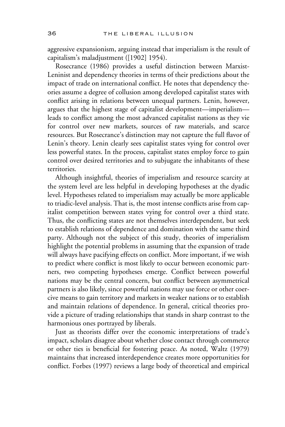aggressive expansionism, arguing instead that imperialism is the result of capitalism's maladjustment ([1902] 1954).

Rosecrance (1986) provides a useful distinction between Marxist-Leninist and dependency theories in terms of their predictions about the impact of trade on international conflict. He notes that dependency theories assume a degree of collusion among developed capitalist states with conflict arising in relations between unequal partners. Lenin, however, argues that the highest stage of capitalist development—imperialism leads to conflict among the most advanced capitalist nations as they vie for control over new markets, sources of raw materials, and scarce resources. But Rosecrance's distinction may not capture the full flavor of Lenin's theory. Lenin clearly sees capitalist states vying for control over less powerful states. In the process, capitalist states employ force to gain control over desired territories and to subjugate the inhabitants of these territories.

Although insightful, theories of imperialism and resource scarcity at the system level are less helpful in developing hypotheses at the dyadic level. Hypotheses related to imperialism may actually be more applicable to triadic-level analysis. That is, the most intense conflicts arise from capitalist competition between states vying for control over a third state. Thus, the conflicting states are not themselves interdependent, but seek to establish relations of dependence and domination with the same third party. Although not the subject of this study, theories of imperialism highlight the potential problems in assuming that the expansion of trade will always have pacifying effects on conflict. More important, if we wish to predict where conflict is most likely to occur between economic partners, two competing hypotheses emerge. Conflict between powerful nations may be the central concern, but conflict between asymmetrical partners is also likely, since powerful nations may use force or other coercive means to gain territory and markets in weaker nations or to establish and maintain relations of dependence. In general, critical theories provide a picture of trading relationships that stands in sharp contrast to the harmonious ones portrayed by liberals.

Just as theorists differ over the economic interpretations of trade's impact, scholars disagree about whether close contact through commerce or other ties is beneficial for fostering peace. As noted, Waltz (1979) maintains that increased interdependence creates more opportunities for conflict. Forbes (1997) reviews a large body of theoretical and empirical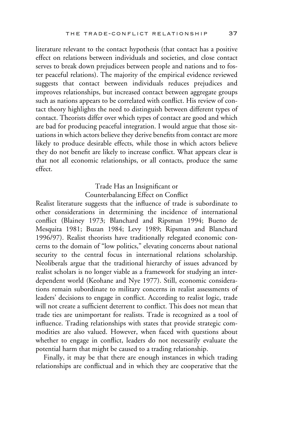literature relevant to the contact hypothesis (that contact has a positive effect on relations between individuals and societies, and close contact serves to break down prejudices between people and nations and to foster peaceful relations). The majority of the empirical evidence reviewed suggests that contact between individuals reduces prejudices and improves relationships, but increased contact between aggregate groups such as nations appears to be correlated with conflict. His review of contact theory highlights the need to distinguish between different types of contact. Theorists differ over which types of contact are good and which are bad for producing peaceful integration. I would argue that those situations in which actors believe they derive benefits from contact are more likely to produce desirable effects, while those in which actors believe they do not benefit are likely to increase conflict. What appears clear is that not all economic relationships, or all contacts, produce the same effect.

Trade Has an Insignificant or

Counterbalancing Effect on Conflict

Realist literature suggests that the influence of trade is subordinate to other considerations in determining the incidence of international conflict (Blainey 1973; Blanchard and Ripsman 1994; Bueno de Mesquita 1981; Buzan 1984; Levy 1989; Ripsman and Blanchard 1996/97). Realist theorists have traditionally relegated economic concerns to the domain of "low politics," elevating concerns about national security to the central focus in international relations scholarship. Neoliberals argue that the traditional hierarchy of issues advanced by realist scholars is no longer viable as a framework for studying an interdependent world (Keohane and Nye 1977). Still, economic considerations remain subordinate to military concerns in realist assessments of leaders' decisions to engage in conflict. According to realist logic, trade will not create a sufficient deterrent to conflict. This does not mean that trade ties are unimportant for realists. Trade is recognized as a tool of influence. Trading relationships with states that provide strategic commodities are also valued. However, when faced with questions about whether to engage in conflict, leaders do not necessarily evaluate the potential harm that might be caused to a trading relationship.

Finally, it may be that there are enough instances in which trading relationships are conflictual and in which they are cooperative that the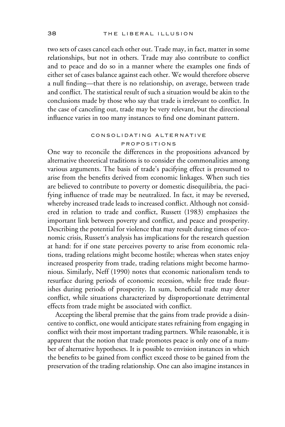two sets of cases cancel each other out. Trade may, in fact, matter in some relationships, but not in others. Trade may also contribute to conflict and to peace and do so in a manner where the examples one finds of either set of cases balance against each other. We would therefore observe a null finding—that there is no relationship, on average, between trade and conflict. The statistical result of such a situation would be akin to the conclusions made by those who say that trade is irrelevant to conflict. In the case of canceling out, trade may be very relevant, but the directional influence varies in too many instances to find one dominant pattern.

## consolidating alternative

## propositions

One way to reconcile the differences in the propositions advanced by alternative theoretical traditions is to consider the commonalities among various arguments. The basis of trade's pacifying effect is presumed to arise from the benefits derived from economic linkages. When such ties are believed to contribute to poverty or domestic disequilibria, the pacifying influence of trade may be neutralized. In fact, it may be reversed, whereby increased trade leads to increased conflict. Although not considered in relation to trade and conflict, Russett (1983) emphasizes the important link between poverty and conflict, and peace and prosperity. Describing the potential for violence that may result during times of economic crisis, Russett's analysis has implications for the research question at hand: for if one state perceives poverty to arise from economic relations, trading relations might become hostile; whereas when states enjoy increased prosperity from trade, trading relations might become harmonious. Similarly, Neff (1990) notes that economic nationalism tends to resurface during periods of economic recession, while free trade flourishes during periods of prosperity. In sum, beneficial trade may deter conflict, while situations characterized by disproportionate detrimental effects from trade might be associated with conflict.

Accepting the liberal premise that the gains from trade provide a disincentive to conflict, one would anticipate states refraining from engaging in conflict with their most important trading partners. While reasonable, it is apparent that the notion that trade promotes peace is only one of a number of alternative hypotheses. It is possible to envision instances in which the benefits to be gained from conflict exceed those to be gained from the preservation of the trading relationship. One can also imagine instances in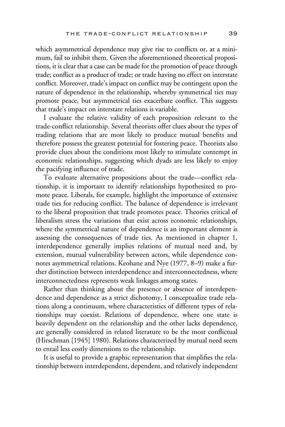which asymmetrical dependence may give rise to conflicts or, at a minimum, fail to inhibit them. Given the aforementioned theoretical propositions, it is clear that a case can be made for the promotion of peace through trade; conflict as a product of trade; or trade having no effect on interstate conflict. Moreover, trade's impact on conflict may be contingent upon the nature of dependence in the relationship, whereby symmetrical ties may promote peace, but asymmetrical ties exacerbate conflict. This suggests that trade's impact on interstate relations is variable.

I evaluate the relative validity of each proposition relevant to the trade-conflict relationship. Several theorists offer clues about the types of trading relations that are most likely to produce mutual benefits and therefore possess the greatest potential for fostering peace. Theorists also provide clues about the conditions most likely to stimulate contempt in economic relationships, suggesting which dyads are less likely to enjoy the pacifying influence of trade.

To evaluate alternative propositions about the trade-conflict relationship, it is important to identify relationships hypothesized to promote peace. Liberals, for example, highlight the importance of extensive trade ties for reducing conflict. The balance of dependence is irrelevant to the liberal proposition that trade promotes peace. Theories critical of liberalism stress the variations that exist across economic relationships, where the symmetrical nature of dependence is an important element is assessing the consequences of trade ties. As mentioned in chapter 1, interdependence generally implies relations of mutual need and, by extension, mutual vulnerability between actors, while dependence connotes asymmetrical relations. Keohane and Nye (1977, 8–9) make a further distinction between interdependence and interconnectedness, where interconnectedness represents weak linkages among states.

Rather than thinking about the presence or absence of interdependence and dependence as a strict dichotomy, I conceptualize trade relations along a continuum, where characteristics of different types of relationships may coexist. Relations of dependence, where one state is heavily dependent on the relationship and the other lacks dependence, are generally considered in related literature to be the most conflictual (Hirschman [1945] 1980). Relations characterized by mutual need seem to entail less costly dimensions to the relationship.

It is useful to provide a graphic representation that simplifies the relationship between interdependent, dependent, and relatively independent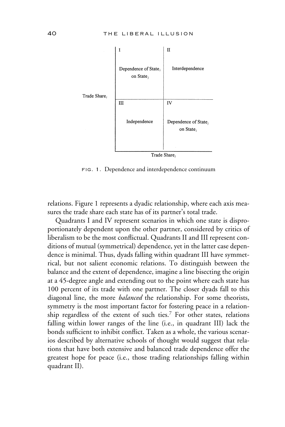

fig. 1. Dependence and interdependence continuum

relations. Figure 1 represents a dyadic relationship, where each axis measures the trade share each state has of its partner's total trade.

Quadrants I and IV represent scenarios in which one state is disproportionately dependent upon the other partner, considered by critics of liberalism to be the most conflictual. Quadrants II and III represent conditions of mutual (symmetrical) dependence, yet in the latter case dependence is minimal. Thus, dyads falling within quadrant III have symmetrical, but not salient economic relations. To distinguish between the balance and the extent of dependence, imagine a line bisecting the origin at a 45-degree angle and extending out to the point where each state has 100 percent of its trade with one partner. The closer dyads fall to this diagonal line, the more *balanced* the relationship. For some theorists, symmetry is the most important factor for fostering peace in a relationship regardless of the extent of such ties.<sup>7</sup> For other states, relations falling within lower ranges of the line (i.e., in quadrant III) lack the bonds sufficient to inhibit conflict. Taken as a whole, the various scenarios described by alternative schools of thought would suggest that relations that have both extensive and balanced trade dependence offer the greatest hope for peace (i.e., those trading relationships falling within quadrant II).